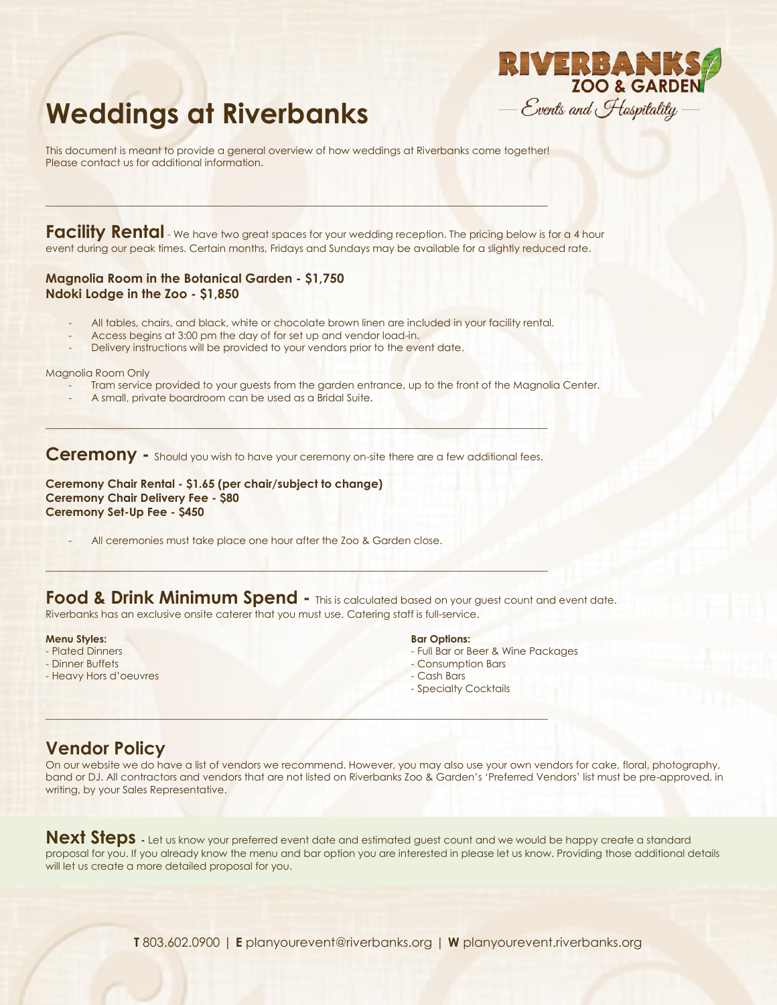

# **Weddings at Riverbanks**

This document is meant to provide a general overview of how weddings at Riverbanks come together! Please contact us for additional information.

 $\mathcal{L}_\text{max} = \mathcal{L}_\text{max} = \mathcal{L}_\text{max} = \mathcal{L}_\text{max} = \mathcal{L}_\text{max} = \mathcal{L}_\text{max} = \mathcal{L}_\text{max} = \mathcal{L}_\text{max} = \mathcal{L}_\text{max} = \mathcal{L}_\text{max} = \mathcal{L}_\text{max} = \mathcal{L}_\text{max} = \mathcal{L}_\text{max} = \mathcal{L}_\text{max} = \mathcal{L}_\text{max} = \mathcal{L}_\text{max} = \mathcal{L}_\text{max} = \mathcal{L}_\text{max} = \mathcal{$ 

Facility Rental - We have two great spaces for your wedding reception. The pricing below is for a 4 hour event during our peak times. Certain months, Fridays and Sundays may be available for a slightly reduced rate.

#### **Magnolia Room in the Botanical Garden - \$1,750 Ndoki Lodge in the Zoo - \$1,850**

- All tables, chairs, and black, white or chocolate brown linen are included in your facility rental.
- Access begins at 3:00 pm the day of for set up and vendor load-in.
- Delivery instructions will be provided to your vendors prior to the event date.

Magnolia Room Only

- Tram service provided to your guests from the garden entrance, up to the front of the Magnolia Center.
- A small, private boardroom can be used as a Bridal Suite.

**Ceremony -** Should you wish to have your ceremony on-site there are a few additional fees.

\_\_\_\_\_\_\_\_\_\_\_\_\_\_\_\_\_\_\_\_\_\_\_\_\_\_\_\_\_\_\_\_\_\_\_\_\_\_\_\_\_\_\_\_\_\_\_\_\_\_\_\_\_\_\_\_\_\_\_\_\_\_\_\_\_\_\_\_\_\_\_\_\_\_\_\_\_\_\_\_\_\_\_\_\_\_\_\_

 $\mathcal{L} = \{ \mathcal{L} \mid \mathcal{L} \in \mathcal{L} \mid \mathcal{L} \in \mathcal{L} \}$ 

\_\_\_\_\_\_\_\_\_\_\_\_\_\_\_\_\_\_\_\_\_\_\_\_\_\_\_\_\_\_\_\_\_\_\_\_\_\_\_\_\_\_\_\_\_\_\_\_\_\_\_\_\_\_\_\_\_\_\_\_\_\_\_\_\_\_\_\_\_\_\_\_\_\_\_\_\_\_\_\_\_\_\_\_\_\_\_\_

**Ceremony Chair Rental - \$1.65 (per chair/subject to change) Ceremony Chair Delivery Fee - \$80 Ceremony Set-Up Fee - \$450**

All ceremonies must take place one hour after the Zoo & Garden close.

**Food & Drink Minimum Spend -** This is calculated based on your guest count and event date. Riverbanks has an exclusive onsite caterer that you must use. Catering staff is full-service.

#### **Menu Styles:**

- Plated Dinners
- Dinner Buffets
- Heavy Hors d'oeuvres

#### **Bar Options:**

- Full Bar or Beer & Wine Packages
- Consumption Bars
- Cash Bars
- Specialty Cocktails

# **Vendor Policy**

On our website we do have a list of vendors we recommend. However, you may also use your own vendors for cake, floral, photography, band or DJ. All contractors and vendors that are not listed on Riverbanks Zoo & Garden's 'Preferred Vendors' list must be pre-approved, in writing, by your Sales Representative.

Next Steps  $\overline{\phantom{a}}$  Let us know your preferred event date and estimated guest count and we would be happy create a standard proposal for you. If you already know the menu and bar option you are interested in please let us know. Providing those additional details will let us create a more detailed proposal for you.

**T** 803.602.0900 | **E** planyourevent@riverbanks.org | **W** planyourevent.riverbanks.org